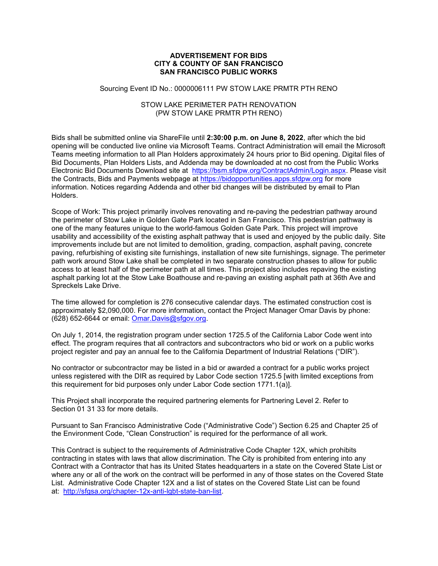## ADVERTISEMENT FOR BIDS CITY & COUNTY OF SAN FRANCISCO SAN FRANCISCO PUBLIC WORKS

## Sourcing Event ID No.: 0000006111 PW STOW LAKE PRMTR PTH RENO

## STOW LAKE PERIMETER PATH RENOVATION (PW STOW LAKE PRMTR PTH RENO)

Bids shall be submitted online via ShareFile until 2:30:00 p.m. on June 8, 2022, after which the bid opening will be conducted live online via Microsoft Teams. Contract Administration will email the Microsoft Teams meeting information to all Plan Holders approximately 24 hours prior to Bid opening. Digital files of Bid Documents, Plan Holders Lists, and Addenda may be downloaded at no cost from the Public Works Electronic Bid Documents Download site at https://bsm.sfdpw.org/ContractAdmin/Login.aspx. Please visit the Contracts, Bids and Payments webpage at https://bidopportunities.apps.sfdpw.org for more information. Notices regarding Addenda and other bid changes will be distributed by email to Plan Holders.

Scope of Work: This project primarily involves renovating and re-paving the pedestrian pathway around the perimeter of Stow Lake in Golden Gate Park located in San Francisco. This pedestrian pathway is one of the many features unique to the world-famous Golden Gate Park. This project will improve usability and accessibility of the existing asphalt pathway that is used and enjoyed by the public daily. Site improvements include but are not limited to demolition, grading, compaction, asphalt paving, concrete paving, refurbishing of existing site furnishings, installation of new site furnishings, signage. The perimeter path work around Stow Lake shall be completed in two separate construction phases to allow for public access to at least half of the perimeter path at all times. This project also includes repaving the existing asphalt parking lot at the Stow Lake Boathouse and re-paving an existing asphalt path at 36th Ave and Spreckels Lake Drive.

The time allowed for completion is 276 consecutive calendar days. The estimated construction cost is approximately \$2,090,000. For more information, contact the Project Manager Omar Davis by phone:  $(628)$  652-6644 or email: Omar.Davis@sfgov.org.

On July 1, 2014, the registration program under section 1725.5 of the California Labor Code went into effect. The program requires that all contractors and subcontractors who bid or work on a public works project register and pay an annual fee to the California Department of Industrial Relations ("DIR").

No contractor or subcontractor may be listed in a bid or awarded a contract for a public works project unless registered with the DIR as required by Labor Code section 1725.5 [with limited exceptions from this requirement for bid purposes only under Labor Code section 1771.1(a)].

This Project shall incorporate the required partnering elements for Partnering Level 2. Refer to Section 01 31 33 for more details.

Pursuant to San Francisco Administrative Code ("Administrative Code") Section 6.25 and Chapter 25 of the Environment Code, "Clean Construction" is required for the performance of all work.

This Contract is subject to the requirements of Administrative Code Chapter 12X, which prohibits contracting in states with laws that allow discrimination. The City is prohibited from entering into any Contract with a Contractor that has its United States headquarters in a state on the Covered State List or where any or all of the work on the contract will be performed in any of those states on the Covered State List. Administrative Code Chapter 12X and a list of states on the Covered State List can be found at: http://sfgsa.org/chapter-12x-anti-lgbt-state-ban-list.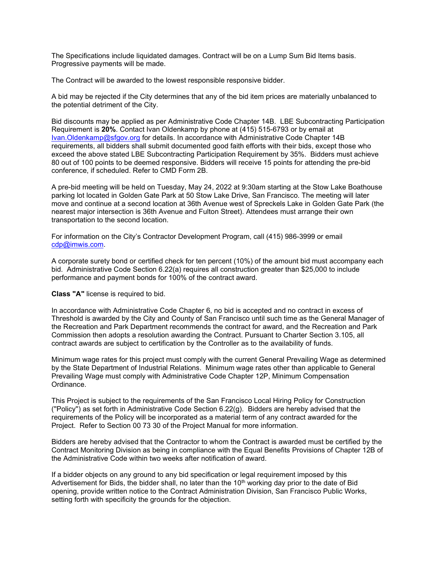The Specifications include liquidated damages. Contract will be on a Lump Sum Bid Items basis. Progressive payments will be made.

The Contract will be awarded to the lowest responsible responsive bidder.

A bid may be rejected if the City determines that any of the bid item prices are materially unbalanced to the potential detriment of the City.

Bid discounts may be applied as per Administrative Code Chapter 14B. LBE Subcontracting Participation Requirement is 20%. Contact Ivan Oldenkamp by phone at (415) 515-6793 or by email at Ivan.Oldenkamp@sfgov.org for details. In accordance with Administrative Code Chapter 14B requirements, all bidders shall submit documented good faith efforts with their bids, except those who exceed the above stated LBE Subcontracting Participation Requirement by 35%. Bidders must achieve 80 out of 100 points to be deemed responsive. Bidders will receive 15 points for attending the pre-bid conference, if scheduled. Refer to CMD Form 2B.

A pre-bid meeting will be held on Tuesday, May 24, 2022 at 9:30am starting at the Stow Lake Boathouse parking lot located in Golden Gate Park at 50 Stow Lake Drive, San Francisco. The meeting will later move and continue at a second location at 36th Avenue west of Spreckels Lake in Golden Gate Park (the nearest major intersection is 36th Avenue and Fulton Street). Attendees must arrange their own transportation to the second location.

For information on the City's Contractor Development Program, call (415) 986-3999 or email cdp@imwis.com.

A corporate surety bond or certified check for ten percent (10%) of the amount bid must accompany each bid. Administrative Code Section 6.22(a) requires all construction greater than \$25,000 to include performance and payment bonds for 100% of the contract award.

Class "A" license is required to bid.

In accordance with Administrative Code Chapter 6, no bid is accepted and no contract in excess of Threshold is awarded by the City and County of San Francisco until such time as the General Manager of the Recreation and Park Department recommends the contract for award, and the Recreation and Park Commission then adopts a resolution awarding the Contract. Pursuant to Charter Section 3.105, all contract awards are subject to certification by the Controller as to the availability of funds.

Minimum wage rates for this project must comply with the current General Prevailing Wage as determined by the State Department of Industrial Relations. Minimum wage rates other than applicable to General Prevailing Wage must comply with Administrative Code Chapter 12P, Minimum Compensation Ordinance.

This Project is subject to the requirements of the San Francisco Local Hiring Policy for Construction (''Policy'') as set forth in Administrative Code Section 6.22(g). Bidders are hereby advised that the requirements of the Policy will be incorporated as a material term of any contract awarded for the Project. Refer to Section 00 73 30 of the Project Manual for more information.

Bidders are hereby advised that the Contractor to whom the Contract is awarded must be certified by the Contract Monitoring Division as being in compliance with the Equal Benefits Provisions of Chapter 12B of the Administrative Code within two weeks after notification of award.

If a bidder objects on any ground to any bid specification or legal requirement imposed by this Advertisement for Bids, the bidder shall, no later than the 10<sup>th</sup> working day prior to the date of Bid opening, provide written notice to the Contract Administration Division, San Francisco Public Works, setting forth with specificity the grounds for the objection.